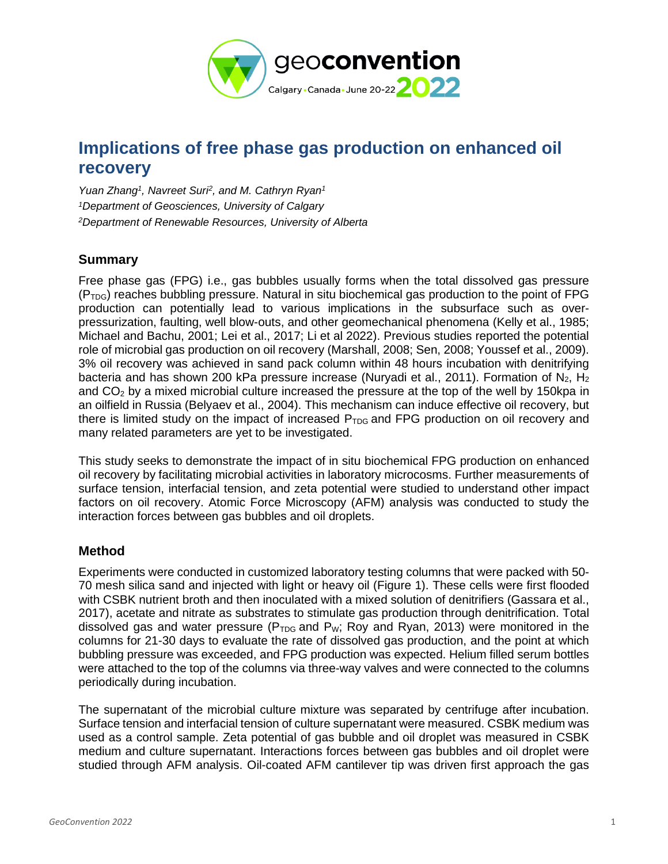

# **Implications of free phase gas production on enhanced oil recovery**

*Yuan Zhang<sup>1</sup> , Navreet Suri<sup>2</sup> , and M. Cathryn Ryan<sup>1</sup> <sup>1</sup>Department of Geosciences, University of Calgary <sup>2</sup>Department of Renewable Resources, University of Alberta*

## **Summary**

Free phase gas (FPG) i.e., gas bubbles usually forms when the total dissolved gas pressure  $(P_{TDG})$  reaches bubbling pressure. Natural in situ biochemical gas production to the point of FPG production can potentially lead to various implications in the subsurface such as overpressurization, faulting, well blow-outs, and other geomechanical phenomena (Kelly et al., 1985; Michael and Bachu, 2001; Lei et al., 2017; Li et al 2022). Previous studies reported the potential role of microbial gas production on oil recovery (Marshall, 2008; Sen, 2008; Youssef et al., 2009). 3% oil recovery was achieved in sand pack column within 48 hours incubation with denitrifying bacteria and has shown 200 kPa pressure increase (Nuryadi et al., 2011). Formation of  $N_2$ , H<sub>2</sub> and  $CO<sub>2</sub>$  by a mixed microbial culture increased the pressure at the top of the well by 150kpa in an oilfield in Russia (Belyaev et al., 2004). This mechanism can induce effective oil recovery, but there is limited study on the impact of increased  $P_{TDG}$  and FPG production on oil recovery and many related parameters are yet to be investigated.

This study seeks to demonstrate the impact of in situ biochemical FPG production on enhanced oil recovery by facilitating microbial activities in laboratory microcosms. Further measurements of surface tension, interfacial tension, and zeta potential were studied to understand other impact factors on oil recovery. Atomic Force Microscopy (AFM) analysis was conducted to study the interaction forces between gas bubbles and oil droplets.

### **Method**

Experiments were conducted in customized laboratory testing columns that were packed with 50- 70 mesh silica sand and injected with light or heavy oil (Figure 1). These cells were first flooded with CSBK nutrient broth and then inoculated with a mixed solution of denitrifiers (Gassara et al., 2017), acetate and nitrate as substrates to stimulate gas production through denitrification. Total dissolved gas and water pressure ( $P_{TDG}$  and  $P_W$ ; Roy and Ryan, 2013) were monitored in the columns for 21-30 days to evaluate the rate of dissolved gas production, and the point at which bubbling pressure was exceeded, and FPG production was expected. Helium filled serum bottles were attached to the top of the columns via three-way valves and were connected to the columns periodically during incubation.

The supernatant of the microbial culture mixture was separated by centrifuge after incubation. Surface tension and interfacial tension of culture supernatant were measured. CSBK medium was used as a control sample. Zeta potential of gas bubble and oil droplet was measured in CSBK medium and culture supernatant. Interactions forces between gas bubbles and oil droplet were studied through AFM analysis. Oil-coated AFM cantilever tip was driven first approach the gas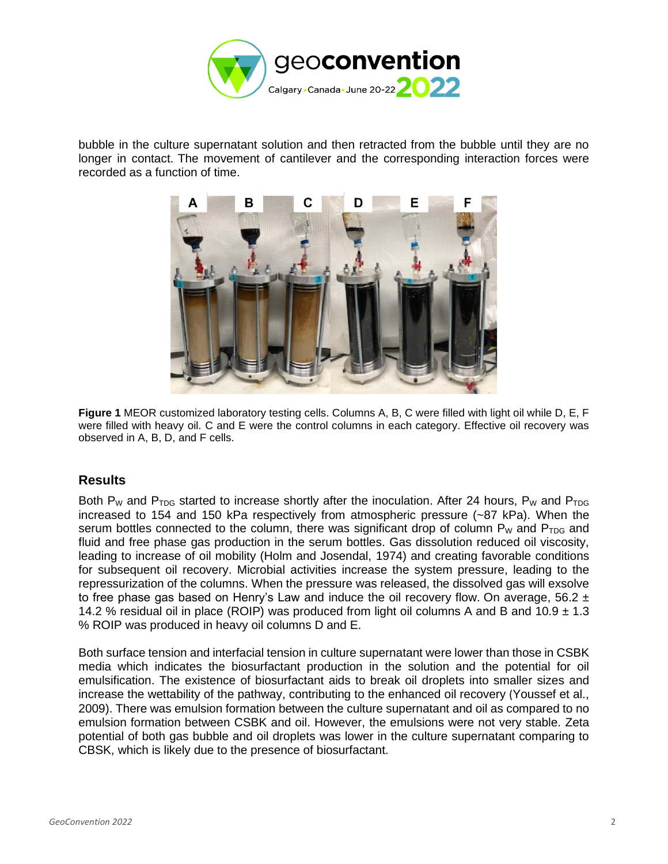

bubble in the culture supernatant solution and then retracted from the bubble until they are no longer in contact. The movement of cantilever and the corresponding interaction forces were recorded as a function of time.



**Figure 1** MEOR customized laboratory testing cells. Columns A, B, C were filled with light oil while D, E, F were filled with heavy oil. C and E were the control columns in each category. Effective oil recovery was observed in A, B, D, and F cells.

### **Results**

Both P<sub>W</sub> and P<sub>TDG</sub> started to increase shortly after the inoculation. After 24 hours, P<sub>W</sub> and P<sub>TDG</sub> increased to 154 and 150 kPa respectively from atmospheric pressure (~87 kPa). When the serum bottles connected to the column, there was significant drop of column  $P_W$  and  $P_{TDG}$  and fluid and free phase gas production in the serum bottles. Gas dissolution reduced oil viscosity, leading to increase of oil mobility (Holm and Josendal, 1974) and creating favorable conditions for subsequent oil recovery. Microbial activities increase the system pressure, leading to the repressurization of the columns. When the pressure was released, the dissolved gas will exsolve to free phase gas based on Henry's Law and induce the oil recovery flow. On average, 56.2  $\pm$ 14.2 % residual oil in place (ROIP) was produced from light oil columns A and B and 10.9  $\pm$  1.3 % ROIP was produced in heavy oil columns D and E.

Both surface tension and interfacial tension in culture supernatant were lower than those in CSBK media which indicates the biosurfactant production in the solution and the potential for oil emulsification. The existence of biosurfactant aids to break oil droplets into smaller sizes and increase the wettability of the pathway, contributing to the enhanced oil recovery (Youssef et al., 2009). There was emulsion formation between the culture supernatant and oil as compared to no emulsion formation between CSBK and oil. However, the emulsions were not very stable. Zeta potential of both gas bubble and oil droplets was lower in the culture supernatant comparing to CBSK, which is likely due to the presence of biosurfactant.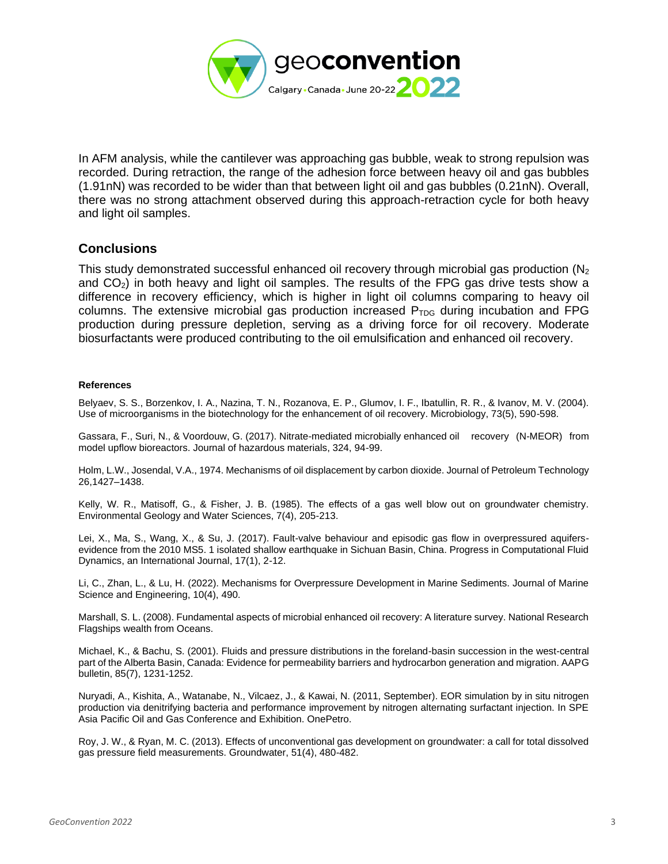

In AFM analysis, while the cantilever was approaching gas bubble, weak to strong repulsion was recorded. During retraction, the range of the adhesion force between heavy oil and gas bubbles (1.91nN) was recorded to be wider than that between light oil and gas bubbles (0.21nN). Overall, there was no strong attachment observed during this approach-retraction cycle for both heavy and light oil samples.

#### **Conclusions**

This study demonstrated successful enhanced oil recovery through microbial gas production (N<sub>2</sub>) and  $CO<sub>2</sub>$ ) in both heavy and light oil samples. The results of the FPG gas drive tests show a difference in recovery efficiency, which is higher in light oil columns comparing to heavy oil columns. The extensive microbial gas production increased  $P_{TDG}$  during incubation and FPG production during pressure depletion, serving as a driving force for oil recovery. Moderate biosurfactants were produced contributing to the oil emulsification and enhanced oil recovery.

#### **References**

Belyaev, S. S., Borzenkov, I. A., Nazina, T. N., Rozanova, E. P., Glumov, I. F., Ibatullin, R. R., & Ivanov, M. V. (2004). Use of microorganisms in the biotechnology for the enhancement of oil recovery. Microbiology, 73(5), 590-598.

Gassara, F., Suri, N., & Voordouw, G. (2017). Nitrate-mediated microbially enhanced oil recovery (N-MEOR) from model upflow bioreactors. Journal of hazardous materials, 324, 94-99.

Holm, L.W., Josendal, V.A., 1974. Mechanisms of oil displacement by carbon dioxide. Journal of Petroleum Technology 26,1427–1438.

Kelly, W. R., Matisoff, G., & Fisher, J. B. (1985). The effects of a gas well blow out on groundwater chemistry. Environmental Geology and Water Sciences, 7(4), 205-213.

Lei, X., Ma, S., Wang, X., & Su, J. (2017). Fault-valve behaviour and episodic gas flow in overpressured aquifersevidence from the 2010 MS5. 1 isolated shallow earthquake in Sichuan Basin, China. Progress in Computational Fluid Dynamics, an International Journal, 17(1), 2-12.

Li, C., Zhan, L., & Lu, H. (2022). Mechanisms for Overpressure Development in Marine Sediments. Journal of Marine Science and Engineering, 10(4), 490.

Marshall, S. L. (2008). Fundamental aspects of microbial enhanced oil recovery: A literature survey. National Research Flagships wealth from Oceans.

Michael, K., & Bachu, S. (2001). Fluids and pressure distributions in the foreland-basin succession in the west-central part of the Alberta Basin, Canada: Evidence for permeability barriers and hydrocarbon generation and migration. AAPG bulletin, 85(7), 1231-1252.

Nuryadi, A., Kishita, A., Watanabe, N., Vilcaez, J., & Kawai, N. (2011, September). EOR simulation by in situ nitrogen production via denitrifying bacteria and performance improvement by nitrogen alternating surfactant injection. In SPE Asia Pacific Oil and Gas Conference and Exhibition. OnePetro.

Roy, J. W., & Ryan, M. C. (2013). Effects of unconventional gas development on groundwater: a call for total dissolved gas pressure field measurements. Groundwater, 51(4), 480-482.